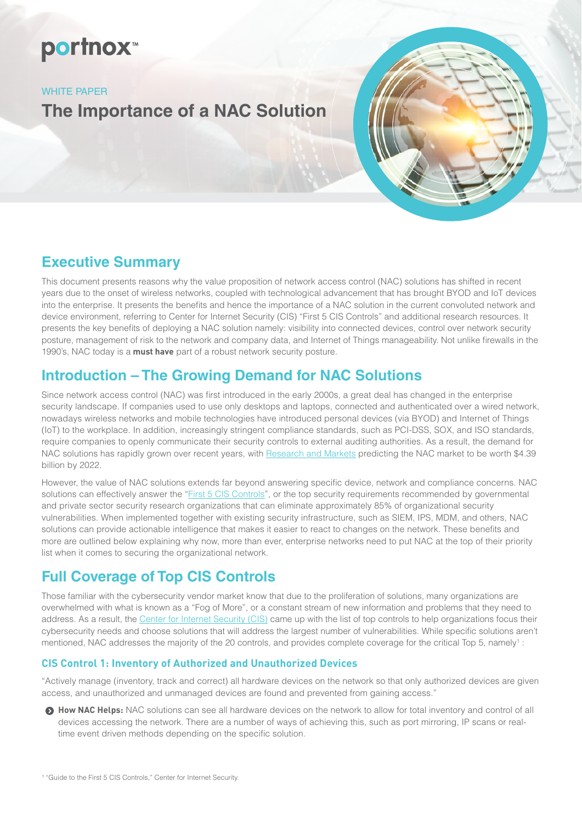# portnox<sup>™</sup>

#### WHITE PAPER

**The Importance of a NAC Solution**

### **Executive Summary**

This document presents reasons why the value proposition of network access control (NAC) solutions has shifted in recent years due to the onset of wireless networks, coupled with technological advancement that has brought BYOD and IoT devices into the enterprise. It presents the benefits and hence the importance of a NAC solution in the current convoluted network and device environment, referring to Center for Internet Security (CIS) "First 5 CIS Controls" and additional research resources. It presents the key benefits of deploying a NAC solution namely: visibility into connected devices, control over network security posture, management of risk to the network and company data, and Internet of Things manageability. Not unlike firewalls in the 1990's, NAC today is a **must have** part of a robust network security posture.

### **Introduction – The Growing Demand for NAC Solutions**

Since network access control (NAC) was first introduced in the early 2000s, a great deal has changed in the enterprise security landscape. If companies used to use only desktops and laptops, connected and authenticated over a wired network, nowadays wireless networks and mobile technologies have introduced personal devices (via BYOD) and Internet of Things (IoT) to the workplace. In addition, increasingly stringent compliance standards, such as PCI-DSS, SOX, and ISO standards, require companies to openly communicate their security controls to external auditing authorities. As a result, the demand for NAC solutions has rapidly grown over recent years, with [Research and Markets](https://globenewswire.com/news-release/2016/06/02/845636/0/en/Network-Access-Control-NAC-Market-Analysis-To-2022-Rising-demand-for-endpoint-intelligence-and-risk-mitigation-have-led-to-a-high-demand.html) predicting the NAC market to be worth \$4.39 billion by 2022.

However, the value of NAC solutions extends far beyond answering specific device, network and compliance concerns. NAC solutions can effectively answer the "[First 5 CIS Controls"](https://www.cisecurity.org/controls/), or the top security requirements recommended by governmental and private sector security research organizations that can eliminate approximately 85% of organizational security vulnerabilities. When implemented together with existing security infrastructure, such as SIEM, IPS, MDM, and others, NAC solutions can provide actionable intelligence that makes it easier to react to changes on the network. These benefits and more are outlined below explaining why now, more than ever, enterprise networks need to put NAC at the top of their priority list when it comes to securing the organizational network.

## **Full Coverage of Top CIS Controls**

Those familiar with the cybersecurity vendor market know that due to the proliferation of solutions, many organizations are overwhelmed with what is known as a "Fog of More", or a constant stream of new information and problems that they need to address. As a result, the [Center for Internet Security \(CIS\)](https://www.cisecurity.org/controls/) came up with the list of top controls to help organizations focus their cybersecurity needs and choose solutions that will address the largest number of vulnerabilities. While specific solutions aren't mentioned, NAC addresses the majority of the 20 controls, and provides complete coverage for the critical Top 5, namely<sup>1</sup>:

### **CIS Control 1: Inventory of Authorized and Unauthorized Devices**

"Actively manage (inventory, track and correct) all hardware devices on the network so that only authorized devices are given access, and unauthorized and unmanaged devices are found and prevented from gaining access."

**How NAC Helps:** NAC solutions can see all hardware devices on the network to allow for total inventory and control of all devices accessing the network. There are a number of ways of achieving this, such as port mirroring, IP scans or realtime event driven methods depending on the specific solution.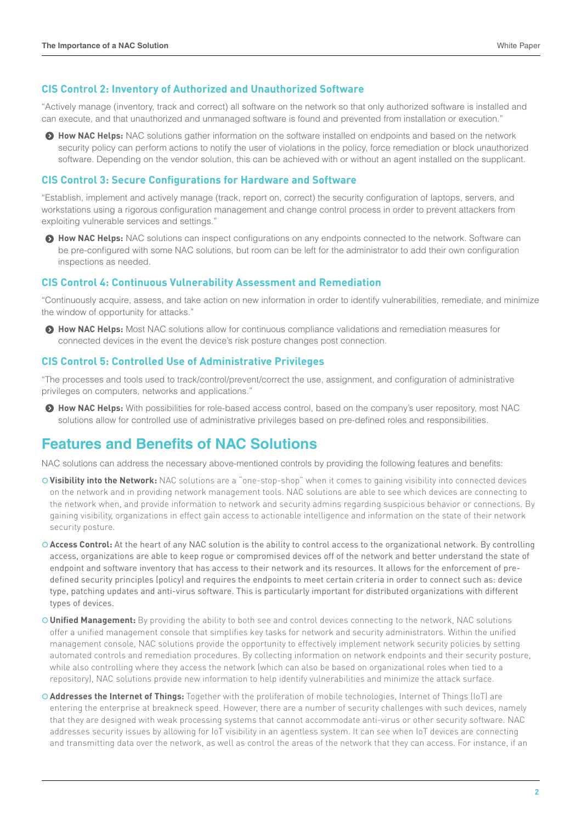#### **CIS Control 2: Inventory of Authorized and Unauthorized Software**

"Actively manage (inventory, track and correct) all software on the network so that only authorized software is installed and can execute, and that unauthorized and unmanaged software is found and prevented from installation or execution."

 $\bullet$  **How NAC Helps:** NAC solutions gather information on the software installed on endpoints and based on the network security policy can perform actions to notify the user of violations in the policy, force remediation or block unauthorized software. Depending on the vendor solution, this can be achieved with or without an agent installed on the supplicant.

#### **CIS Control 3: Secure Configurations for Hardware and Software**

"Establish, implement and actively manage (track, report on, correct) the security configuration of laptops, servers, and workstations using a rigorous configuration management and change control process in order to prevent attackers from exploiting vulnerable services and settings."

**• How NAC Helps:** NAC solutions can inspect configurations on any endpoints connected to the network. Software can be pre-configured with some NAC solutions, but room can be left for the administrator to add their own configuration inspections as needed.

#### **CIS Control 4: Continuous Vulnerability Assessment and Remediation**

"Continuously acquire, assess, and take action on new information in order to identify vulnerabilities, remediate, and minimize the window of opportunity for attacks."

**A How NAC Helps:** Most NAC solutions allow for continuous compliance validations and remediation measures for connected devices in the event the device's risk posture changes post connection.

#### **CIS Control 5: Controlled Use of Administrative Privileges**

"The processes and tools used to track/control/prevent/correct the use, assignment, and configuration of administrative privileges on computers, networks and applications."

**How NAC Helps:** With possibilities for role-based access control, based on the company's user repository, most NAC solutions allow for controlled use of administrative privileges based on pre-defined roles and responsibilities.

### **Features and Benefits of NAC Solutions**

NAC solutions can address the necessary above-mentioned controls by providing the following features and benefits:

- | **Visibility into the Network:** NAC solutions are a "one-stop-shop" when it comes to gaining visibility into connected devices on the network and in providing network management tools. NAC solutions are able to see which devices are connecting to the network when, and provide information to network and security admins regarding suspicious behavior or connections. By gaining visibility, organizations in effect gain access to actionable intelligence and information on the state of their network security posture.
- O Access Control: At the heart of any NAC solution is the ability to control access to the organizational network. By controlling access, organizations are able to keep rogue or compromised devices off of the network and better understand the state of endpoint and software inventory that has access to their network and its resources. It allows for the enforcement of predefined security principles (policy) and requires the endpoints to meet certain criteria in order to connect such as: device type, patching updates and anti-virus software. This is particularly important for distributed organizations with different types of devices.
- | **Unified Management:** By providing the ability to both see and control devices connecting to the network, NAC solutions offer a unified management console that simplifies key tasks for network and security administrators. Within the unified management console, NAC solutions provide the opportunity to effectively implement network security policies by setting automated controls and remediation procedures. By collecting information on network endpoints and their security posture, while also controlling where they access the network (which can also be based on organizational roles when tied to a repository), NAC solutions provide new information to help identify vulnerabilities and minimize the attack surface.
- | **Addresses the Internet of Things:** Together with the proliferation of mobile technologies, Internet of Things (IoT) are entering the enterprise at breakneck speed. However, there are a number of security challenges with such devices, namely that they are designed with weak processing systems that cannot accommodate anti-virus or other security software. NAC addresses security issues by allowing for IoT visibility in an agentless system. It can see when IoT devices are connecting and transmitting data over the network, as well as control the areas of the network that they can access. For instance, if an